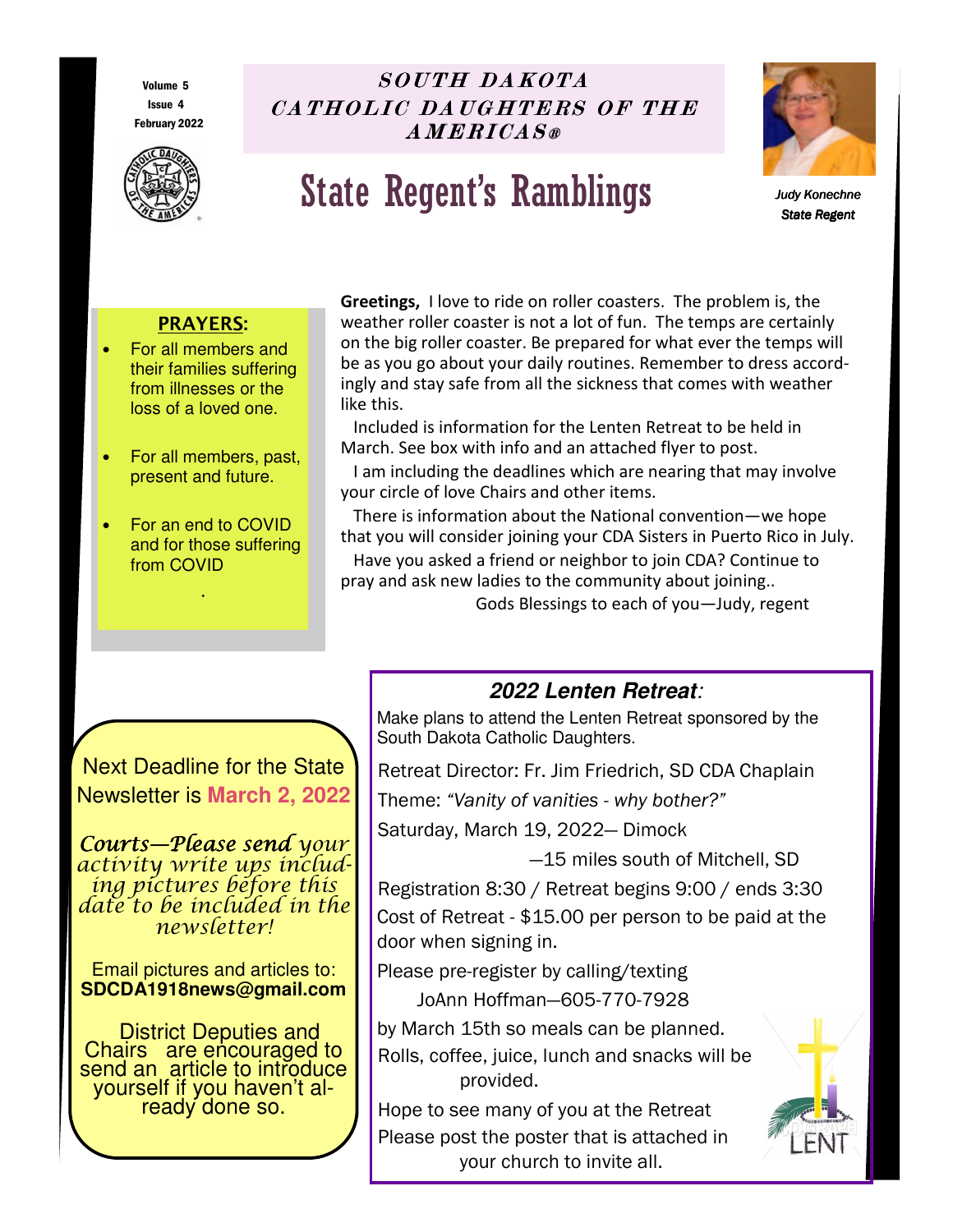Volume 5 Issue 4 February 2022



# $SOUTH$  DA  $KOTA$ CA THOLIC DAUGHTERS OF THE  $\overline{A}$  MERICAS®

# State Regent's Ramblings



*Judy Konechne Judy*  **State Regent** 

# **PRAYERS:**

- For all members and their families suffering from illnesses or the loss of a loved one.
- For all members, past, present and future.
- For an end to COVID and for those suffering from COVID

.

**Greetings,** I love to ride on roller coasters. The problem is, the weather roller coaster is not a lot of fun. The temps are certainly on the big roller coaster. Be prepared for what ever the temps will be as you go about your daily routines. Remember to dress accordingly and stay safe from all the sickness that comes with weather like this.

 Included is information for the Lenten Retreat to be held in March. See box with info and an attached flyer to post.

 I am including the deadlines which are nearing that may involve your circle of love Chairs and other items.

 There is information about the National convention—we hope that you will consider joining your CDA Sisters in Puerto Rico in July. Have you asked a friend or neighbor to join CDA? Continue to pray and ask new ladies to the community about joining..

Gods Blessings to each of you—Judy, regent

Next Deadline for the State Newsletter is **March 2, 2022** 

Courts—Please send your activity write ups including pictures before this date to be included in the newsletter!

Email pictures and articles to: **SDCDA1918news@gmail.com** 

 District Deputies and Chairs are encouraged to send an article to introduce yourself if you haven't already done so.

# **2022 Lenten Retreat***:*

Make plans to attend the Lenten Retreat sponsored by the South Dakota Catholic Daughters.

Retreat Director: Fr. Jim Friedrich, SD CDA Chaplain

Theme: *"Vanity of vanities - why bother?"* 

Saturday, March 19, 2022— Dimock

—15 miles south of Mitchell, SD

Registration 8:30 / Retreat begins 9:00 / ends 3:30 Cost of Retreat - \$15.00 per person to be paid at the door when signing in.

Please pre-register by calling/texting JoAnn Hoffman—605-770-7928

by March 15th so meals can be planned. Rolls, coffee, juice, lunch and snacks will be provided.

Hope to see many of you at the Retreat Please post the poster that is attached in your church to invite all.

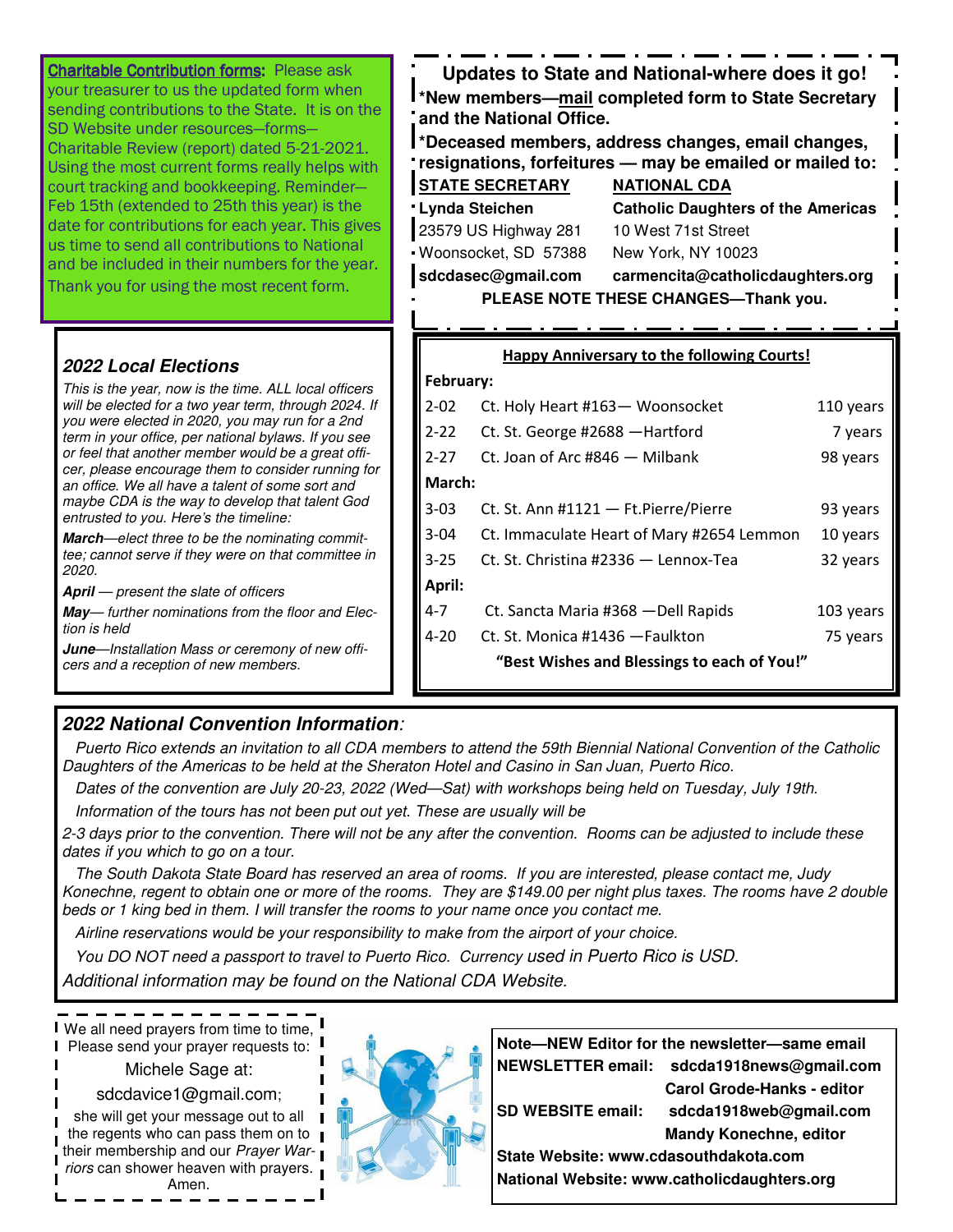| <b>Charitable Contribution forms: Please ask</b><br>your treasurer to us the updated form when<br>sending contributions to the State. It is on the<br>SD Website under resources-forms-<br>Charitable Review (report) dated 5-21-2021.<br>Using the most current forms really helps with<br>court tracking and bookkeeping. Reminder-<br>Feb 15th (extended to 25th this year) is the<br>date for contributions for each year. This gives<br>us time to send all contributions to National<br>and be included in their numbers for the year.<br>Thank you for using the most recent form.                        | Updates to State and National-where does it go!<br>I *New members— <u>mail</u> completed form to State Secretary<br>and the National Office.<br>*Deceased members, address changes, email changes,<br>resignations, forfeitures - may be emailed or mailed to:<br><b>STATE SECRETARY</b><br><b>NATIONAL CDA</b><br><b>Lynda Steichen</b><br><b>Catholic Daughters of the Americas</b><br>23579 US Highway 281<br>10 West 71st Street<br>Woonsocket, SD 57388<br>New York, NY 10023<br>sdcdasec@gmail.com<br>carmencita@catholicdaughters.org<br>PLEASE NOTE THESE CHANGES-Thank you. |                                                                                                      |                                             |                                  |
|------------------------------------------------------------------------------------------------------------------------------------------------------------------------------------------------------------------------------------------------------------------------------------------------------------------------------------------------------------------------------------------------------------------------------------------------------------------------------------------------------------------------------------------------------------------------------------------------------------------|--------------------------------------------------------------------------------------------------------------------------------------------------------------------------------------------------------------------------------------------------------------------------------------------------------------------------------------------------------------------------------------------------------------------------------------------------------------------------------------------------------------------------------------------------------------------------------------|------------------------------------------------------------------------------------------------------|---------------------------------------------|----------------------------------|
| <b>2022 Local Elections</b>                                                                                                                                                                                                                                                                                                                                                                                                                                                                                                                                                                                      | <b>Happy Anniversary to the following Courts!</b>                                                                                                                                                                                                                                                                                                                                                                                                                                                                                                                                    |                                                                                                      |                                             |                                  |
| This is the year, now is the time. ALL local officers<br>will be elected for a two year term, through 2024. If<br>you were elected in 2020, you may run for a 2nd<br>term in your office, per national bylaws. If you see<br>or feel that another member would be a great offi-<br>cer, please encourage them to consider running for<br>an office. We all have a talent of some sort and<br>maybe CDA is the way to develop that talent God<br>entrusted to you. Here's the timeline:<br><b>March</b> —elect three to be the nominating commit-<br>tee; cannot serve if they were on that committee in<br>2020. | February:<br>$2 - 02$<br>$2 - 22$<br>$2 - 27$                                                                                                                                                                                                                                                                                                                                                                                                                                                                                                                                        | Ct. Holy Heart #163- Woonsocket<br>Ct. St. George #2688 - Hartford<br>Ct. Joan of Arc #846 - Milbank |                                             | 110 years<br>7 years<br>98 years |
|                                                                                                                                                                                                                                                                                                                                                                                                                                                                                                                                                                                                                  | March:<br>$3 - 03$                                                                                                                                                                                                                                                                                                                                                                                                                                                                                                                                                                   | Ct. St. Ann #1121 - Ft. Pierre/Pierre<br>93 years                                                    |                                             |                                  |
|                                                                                                                                                                                                                                                                                                                                                                                                                                                                                                                                                                                                                  | $3 - 04$<br>$3 - 25$                                                                                                                                                                                                                                                                                                                                                                                                                                                                                                                                                                 | Ct. Immaculate Heart of Mary #2654 Lemmon<br>Ct. St. Christina #2336 - Lennox-Tea                    |                                             | 10 years<br>32 years             |
| <b>April</b> – present the slate of officers<br>May-further nominations from the floor and Elec-<br>tion is held<br>June-Installation Mass or ceremony of new offi-                                                                                                                                                                                                                                                                                                                                                                                                                                              | April:<br>$4 - 7$<br>$4 - 20$                                                                                                                                                                                                                                                                                                                                                                                                                                                                                                                                                        | Ct. St. Monica #1436 - Faulkton                                                                      | Ct. Sancta Maria #368 - Dell Rapids         | 103 years<br>75 years            |
| cers and a reception of new members.                                                                                                                                                                                                                                                                                                                                                                                                                                                                                                                                                                             |                                                                                                                                                                                                                                                                                                                                                                                                                                                                                                                                                                                      |                                                                                                      | "Best Wishes and Blessings to each of You!" |                                  |

# **2022 National Convention Information***:*

 *Puerto Rico extends an invitation to all CDA members to attend the 59th Biennial National Convention of the Catholic Daughters of the Americas to be held at the Sheraton Hotel and Casino in San Juan, Puerto Rico.* 

 *Dates of the convention are July 20-23, 2022 (Wed—Sat) with workshops being held on Tuesday, July 19th.* 

 *Information of the tours has not been put out yet. These are usually will be* 

*2-3 days prior to the convention. There will not be any after the convention. Rooms can be adjusted to include these dates if you which to go on a tour.* 

 *The South Dakota State Board has reserved an area of rooms. If you are interested, please contact me, Judy Konechne, regent to obtain one or more of the rooms. They are \$149.00 per night plus taxes. The rooms have 2 double beds or 1 king bed in them. I will transfer the rooms to your name once you contact me.* 

 *Airline reservations would be your responsibility to make from the airport of your choice.* 

*You DO NOT need a passport to travel to Puerto Rico. Currency used in Puerto Rico is USD.* 

*Additional information may be found on the National CDA Website.* 

We all need prayers from time to time, Please send your prayer requests to:

#### Michele Sage at:

#### sdcdavice1@gmail.com;

she will get your message out to all the regents who can pass them on to  $\blacksquare$ their membership and our *Prayer Warriors* can shower heaven with prayers. Amen.



**Note—NEW Editor for the newsletter—same email NEWSLETTER email: sdcda1918news@gmail.com** 

 **Carol Grode-Hanks - editor SD WEBSITE email: sdcda1918web@gmail.com Mandy Konechne, editor** 

**State Website: www.cdasouthdakota.com National Website: www.catholicdaughters.org**